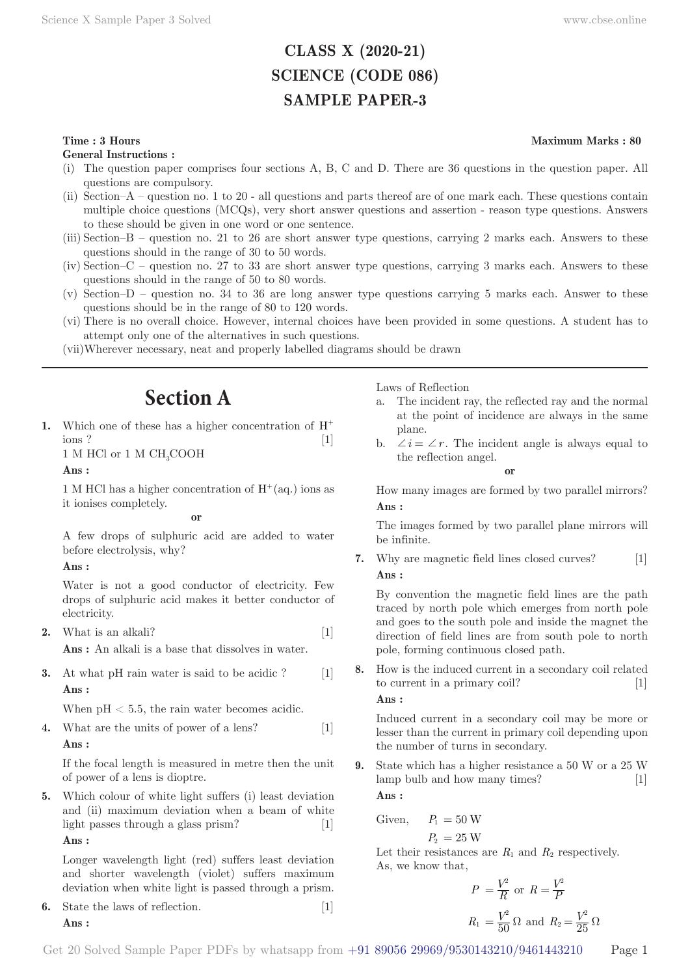# **CLASS X (2020-21) SCIENCE (CODE 086) SAMPLE PAPER-3**

# **Time : 3 Hours** Maximum Marks : 80

**General Instructions :**

- (i) The question paper comprises four sections A, B, C and D. There are 36 questions in the question paper. All questions are compulsory.
- (ii) Section–A question no. 1 to 20 all questions and parts thereof are of one mark each. These questions contain multiple choice questions (MCQs), very short answer questions and assertion - reason type questions. Answers to these should be given in one word or one sentence.
- (iii) Section–B question no. 21 to 26 are short answer type questions, carrying 2 marks each. Answers to these questions should in the range of 30 to 50 words.
- (iv) Section–C question no. 27 to 33 are short answer type questions, carrying 3 marks each. Answers to these questions should in the range of 50 to 80 words.
- (v) Section–D question no. 34 to 36 are long answer type questions carrying 5 marks each. Answer to these questions should be in the range of 80 to 120 words.
- (vi) There is no overall choice. However, internal choices have been provided in some questions. A student has to attempt only one of the alternatives in such questions.
- (vii) Wherever necessary, neat and properly labelled diagrams should be drawn

# **Section A**

**1.** Which one of these has a higher concentration of H<sup>+</sup> ions ? [1]

 $1\text{ M }$  HCl or  $1\text{ M }$  CH $_{3}$ COOH

### **Ans :**

1 M HCl has a higher concentration of  $H^+(aq.)$  ions as it ionises completely.

#### **or**

A few drops of sulphuric acid are added to water before electrolysis, why?

# **Ans :**

Water is not a good conductor of electricity. Few drops of sulphuric acid makes it better conductor of electricity.

- **2.** What is an alkali? [1] **Ans :** An alkali is a base that dissolves in water.
- **3.** At what pH rain water is said to be acidic ? [1] **Ans :**

When  $pH < 5.5$ , the rain water becomes acidic.

**4.** What are the units of power of a lens? [1] **Ans :** 

If the focal length is measured in metre then the unit of power of a lens is dioptre.

**5.** Which colour of white light suffers (i) least deviation and (ii) maximum deviation when a beam of white light passes through a glass prism? [1] **Ans :** 

Longer wavelength light (red) suffers least deviation and shorter wavelength (violet) suffers maximum deviation when white light is passed through a prism.

**6.** State the laws of reflection. [1] **Ans :** 

Laws of Reflection

- a. The incident ray, the reflected ray and the normal at the point of incidence are always in the same plane.
- b.  $\angle i = \angle r$ . The incident angle is always equal to the reflection angel.

**or**

How many images are formed by two parallel mirrors? **Ans :** 

The images formed by two parallel plane mirrors will be infinite.

**7.** Why are magnetic field lines closed curves? [1] **Ans :** 

By convention the magnetic field lines are the path traced by north pole which emerges from north pole and goes to the south pole and inside the magnet the direction of field lines are from south pole to north pole, forming continuous closed path.

**8.** How is the induced current in a secondary coil related to current in a primary coil? [1]

**Ans :** 

Induced current in a secondary coil may be more or lesser than the current in primary coil depending upon the number of turns in secondary.

**9.** State which has a higher resistance a 50 W or a 25 W lamp bulb and how many times? [1] **Ans :** 

$$
Given, \t P_1 = 50 W
$$

$$
P_2\,=25\,\mathrm{W}
$$

Let their resistances are  $R_1$  and  $R_2$  respectively. As, we know that,

$$
P = \frac{V^2}{R} \text{ or } R = \frac{V^2}{P}
$$
  

$$
R_1 = \frac{V^2}{50} \Omega \text{ and } R_2 = \frac{V^2}{25} \Omega
$$

Get 20 Solved Sample Paper PDFs by whatsapp from  $+91\,89056\,29969/9530143210/9461443210$  Page 1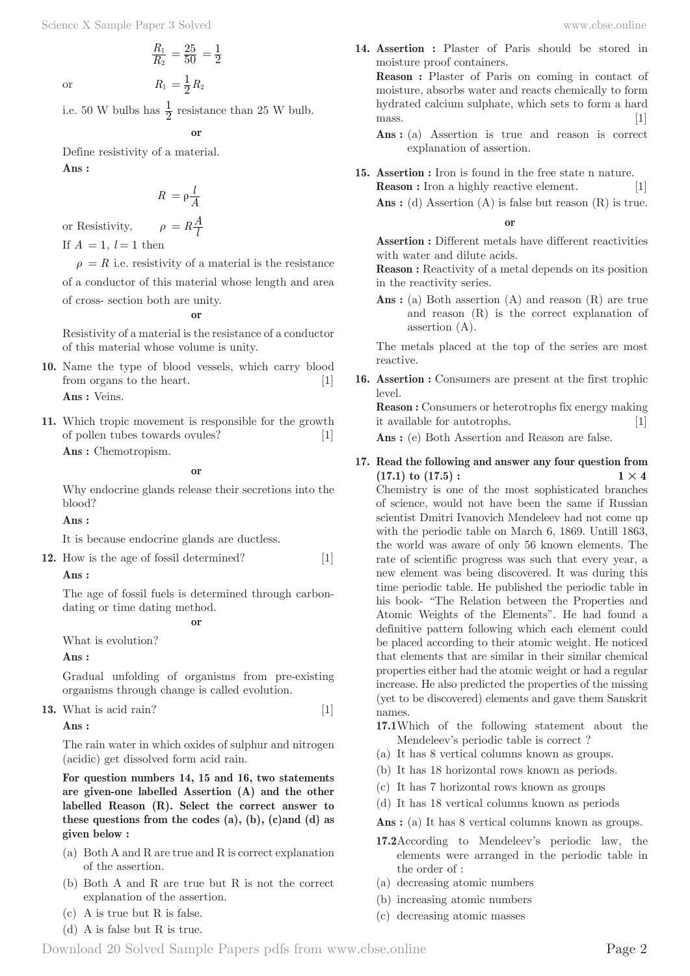*R R* 2  $\frac{1}{2}$  =  $\frac{25}{50}$  =  $\frac{1}{2}$ 

or 
$$
R_1 = \frac{1}{2}R_2
$$

i.e. 50 W bulbs has  $\frac{1}{2}$  resistance than 25 W bulb.

**or**

Define resistivity of a material. **Ans :** 

$$
R = \rho \frac{l}{A}
$$

or Resistivity,  $\rho = R \frac{A}{l}$ 

If  $A = 1$ ,  $l = 1$  then

 $\rho = R$  i.e. resistivity of a material is the resistance

of a conductor of this material whose length and area of cross- section both are unity.

**or**

Resistivity of a material is the resistance of a conductor of this material whose volume is unity.

- **10.** Name the type of blood vessels, which carry blood from organs to the heart. [1] **Ans :** Veins.
- **11.** Which tropic movement is responsible for the growth of pollen tubes towards ovules? [1]

**Ans :** Chemotropism.

**or**

Why endocrine glands release their secretions into the blood?

**Ans :** 

It is because endocrine glands are ductless.

**12.** How is the age of fossil determined? [1]

# **Ans :**

The age of fossil fuels is determined through carbondating or time dating method.

**or**

What is evolution?

**Ans :** 

Gradual unfolding of organisms from pre-existing organisms through change is called evolution.

**13.** What is acid rain? 
$$
[1]
$$

**Ans :** 

The rain water in which oxides of sulphur and nitrogen (acidic) get dissolved form acid rain.

**For question numbers 14, 15 and 16, two statements are given-one labelled Assertion (A) and the other labelled Reason (R). Select the correct answer to these questions from the codes (a), (b), (c)and (d) as given below :**

- (a) Both A and R are true and R is correct explanation of the assertion.
- (b) Both A and R are true but R is not the correct explanation of the assertion.
- (c) A is true but R is false.
- (d) A is false but R is true.

**14. Assertion :** Plaster of Paris should be stored in moisture proof containers.

**Reason :** Plaster of Paris on coming in contact of moisture, absorbs water and reacts chemically to form hydrated calcium sulphate, which sets to form a hard mass. [1]

- Ans : (a) Assertion is true and reason is correct explanation of assertion.
- **15. Assertion :** Iron is found in the free state n nature. **Reason :** Iron a highly reactive element. [1]

Ans : (d) Assertion (A) is false but reason (R) is true.

**or**

**Assertion :** Different metals have different reactivities with water and dilute acids.

**Reason :** Reactivity of a metal depends on its position in the reactivity series.

Ans : (a) Both assertion (A) and reason (R) are true and reason (R) is the correct explanation of assertion (A).

The metals placed at the top of the series are most reactive.

**16. Assertion :** Consumers are present at the first trophic level.

**Reason :** Consumers or heterotrophs fix energy making it available for autotrophs. [1]

Ans : (e) Both Assertion and Reason are false.

**17. Read the following and answer any four question from**   $(17.1)$  to  $(17.5)$ :  $1 \times 4$ 

Chemistry is one of the most sophisticated branches of science, would not have been the same if Russian scientist Dmitri Ivanovich Mendeleev had not come up with the periodic table on March 6, 1869. Untill 1863, the world was aware of only 56 known elements. The rate of scientific progress was such that every year, a new element was being discovered. It was during this time periodic table. He published the periodic table in his book- "The Relation between the Properties and Atomic Weights of the Elements". He had found a definitive pattern following which each element could be placed according to their atomic weight. He noticed that elements that are similar in their similar chemical properties either had the atomic weight or had a regular increase. He also predicted the properties of the missing (yet to be discovered) elements and gave them Sanskrit names.

- **17.1** Which of the following statement about the Mendeleev's periodic table is correct ?
- (a) It has 8 vertical columns known as groups.
- (b) It has 18 horizontal rows known as periods.
- (c) It has 7 horizontal rows known as groups
- (d) It has 18 vertical columns known as periods

Ans : (a) It has 8 vertical columns known as groups.

- **17.2** According to Mendeleev's periodic law, the elements were arranged in the periodic table in the order of :
- (a) decreasing atomic numbers
- (b) increasing atomic numbers
- (c) decreasing atomic masses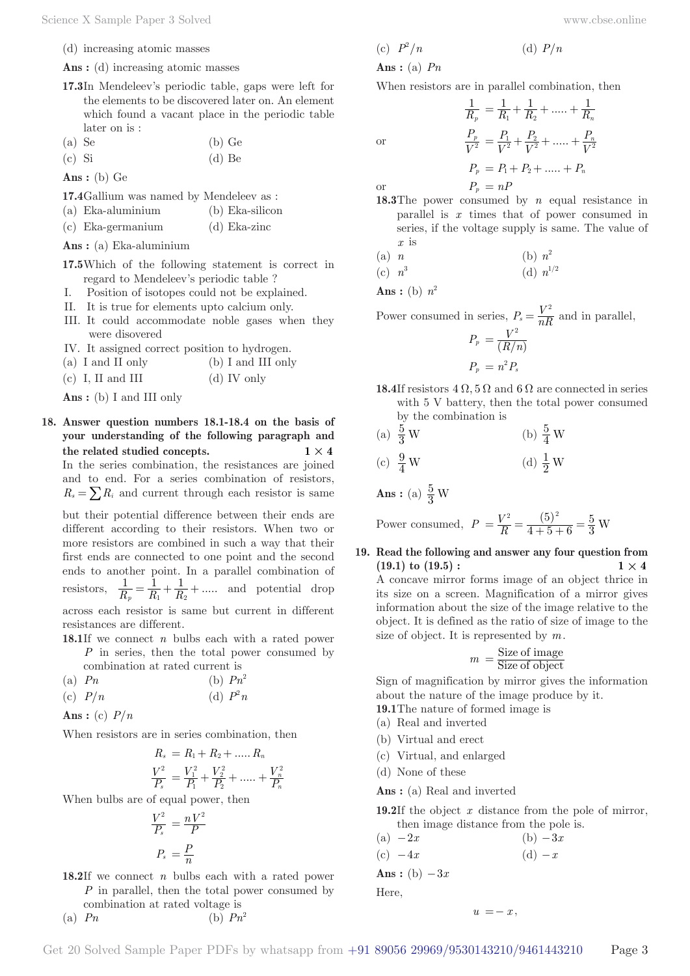(d) increasing atomic masses

Ans : (d) increasing atomic masses

- **17.3** In Mendeleev's periodic table, gaps were left for the elements to be discovered later on. An element which found a vacant place in the periodic table later on is :
- $(a)$  Se  $(b)$  Ge
- $\left( \text{c} \right)$  Si  $\left( \text{d} \right)$  Be

**Ans :** (b) Ge

- **17.4** Gallium was named by Mendeleev as :
- (a) Eka-aluminium (b) Eka-silicon
- (c) Eka-germanium (d) Eka-zinc

**Ans :** (a) Eka-aluminium

**17.5** Which of the following statement is correct in regard to Mendeleev's periodic table ?

- I. Position of isotopes could not be explained.
- II. It is true for elements upto calcium only.
- III. It could accommodate noble gases when they were disovered
- IV. It assigned correct position to hydrogen.
- (a) I and II only (b) I and III only
- (c) I, II and III (d) IV only

**Ans :** (b) I and III only

**18. Answer question numbers 18.1-18.4 on the basis of your understanding of the following paragraph and**  the related studied concepts.  $1 \times 4$ In the series combination, the resistances are joined and to end. For a series combination of resistors,  $R_s = \sum R_i$  and current through each resistor is same

but their potential difference between their ends are different according to their resistors. When two or more resistors are combined in such a way that their first ends are connected to one point and the second ends to another point. In a parallel combination of resistors,  $\frac{1}{R_p} = \frac{1}{R_1} + \frac{1}{R_2} + \dots$  $\frac{1}{p} = \frac{1}{R_1} + \frac{1}{R_2} + \dots$  and potential drop across each resistor is same but current in different resistances are different.

**18.1** If we connect *n* bulbs each with a rated power *P* in series, then the total power consumed by

- combination at rated current is (a)  $Pn$  (b)  $Pn^2$
- (c)  $P/n$  (d)  $P^2n$

Ans: (c)  $P/n$ 

When resistors are in series combination, then

$$
R_s = R_1 + R_2 + \dots + R_n
$$
  

$$
\frac{V^2}{P_s} = \frac{V_1^2}{P_1} + \frac{V_2^2}{P_2} + \dots + \frac{V_n^2}{P_n}
$$

When bulbs are of equal power, then

$$
\frac{V^2}{P_s} = \frac{nV^2}{P}
$$

$$
P_s = \frac{P}{n}
$$

**18.2** If we connect *n* bulbs each with a rated power *P* in parallel, then the total power consumed by combination at rated voltage is

$$
(a) \tPn \t\t (b) \tPn^2
$$

$$
(c) P2/n
$$

**Ans :** (a) *Pn*

or

When resistors are in parallel combination, then

$$
\frac{1}{R_p} = \frac{1}{R_1} + \frac{1}{R_2} + \dots + \frac{1}{R_n}
$$

$$
\frac{P_p}{V^2} = \frac{P_1}{V^2} + \frac{P_2}{V^2} + \dots + \frac{P_n}{V^2}
$$

$$
P_p = P_1 + P_2 + \dots + P_n
$$

 $(d)$   $P/n$ 

or  $P_p = nP$ 

- **18.3** The power consumed by *n* equal resistance in parallel is *x* times that of power consumed in series, if the voltage supply is same. The value of *x* is
- (a) *n* (b)  $n^2$
- $(c)$   $n^3$ (d)  $n^{1/2}$

Ans : (b)  $n^2$ 

Power consumed in series,  $P_s = \frac{V^2}{nR}$  and in parallel,

$$
P_p = \frac{V^2}{(R/n)}
$$
  

$$
P_p = n^2 P_s
$$

- **18.4** If resistors  $4 \Omega$ ,  $5 \Omega$  and  $6 \Omega$  are connected in series with 5 V battery, then the total power consumed by the combination is
- (a)  $\frac{5}{3}$  W  $\frac{5}{3}$  W (b)  $\frac{5}{4}$  W

(c) 
$$
\frac{9}{4}
$$
 W \t\t (d)  $\frac{1}{2}$  W

**Ans** : (a)  $\frac{5}{3}$  W

Power consumed,  $P = \frac{V^2}{R} = \frac{(5)^2}{4+5+6} = \frac{5}{3}$  W  $4+5+6$ 5 3  $=\frac{V^2}{R}=\frac{(5)^2}{4+5+6}=\frac{5}{3}$ 

**19. Read the following and answer any four question from**   $(19.1)$  to  $(19.5)$ :  $1 \times 4$ A concave mirror forms image of an object thrice in its size on a screen. Magnification of a mirror gives information about the size of the image relative to the object. It is defined as the ratio of size of image to the size of object. It is represented by *m*.

$$
m = \frac{\text{Size of image}}{\text{Size of object}}
$$

Sign of magnification by mirror gives the information about the nature of the image produce by it.

- **19.1** The nature of formed image is
- (a) Real and inverted
- (b) Virtual and erect
- (c) Virtual, and enlarged
- (d) None of these
- **Ans :** (a) Real and inverted
- **19.2** If the object *x* distance from the pole of mirror, then image distance from the pole is.

(a) 
$$
-2x
$$
  
\n(b)  $-3x$   
\n(c)  $-4x$   
\n**Ans :** (b)  $-3x$   
\nHere.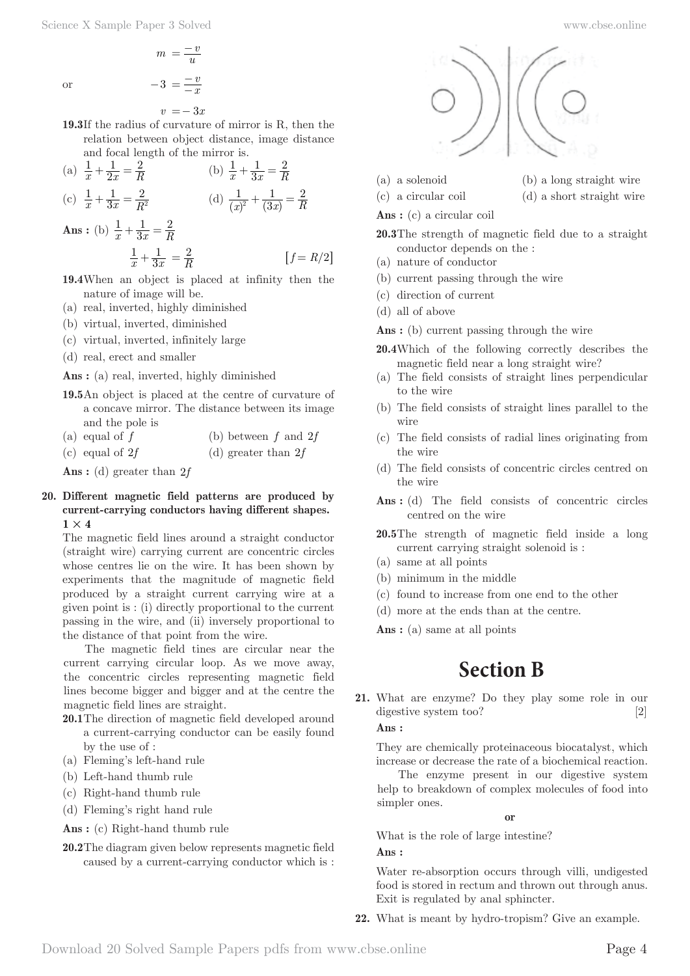$v = -3x$ 

**19.3** If the radius of curvature of mirror is R, then the relation between object distance, image distance and focal length of the mirror is.

(a) 
$$
\frac{1}{x} + \frac{1}{2x} = \frac{2}{R}
$$
   
\n(b)  $\frac{1}{x} + \frac{1}{3x} = \frac{2}{R}$    
\n(c)  $\frac{1}{x} + \frac{1}{3x} = \frac{2}{R^2}$    
\n(d)  $\frac{1}{(x)^2} + \frac{1}{(3x)} = \frac{2}{R}$ 

**Ans :** (b) 
$$
\frac{1}{x} + \frac{1}{3x} = \frac{2}{R}
$$
  
 $\frac{1}{x} + \frac{1}{3x} = \frac{2}{R}$  [*f* = *R*/2]

- **19.4** When an object is placed at infinity then the nature of image will be.
- (a) real, inverted, highly diminished
- (b) virtual, inverted, diminished
- (c) virtual, inverted, infinitely large
- (d) real, erect and smaller

**Ans :** (a) real, inverted, highly diminished

**19.5** An object is placed at the centre of curvature of a concave mirror. The distance between its image and the pole is

| (a) equal of $f$ | (b) between $f$ and $2f$ |
|------------------|--------------------------|
|------------------|--------------------------|

(c) equal of  $2f$  (d) greater than  $2f$ 

**Ans :** (d) greater than 2*f*

### **20. Different magnetic field patterns are produced by current-carrying conductors having different shapes.**  $1 \times 4$

The magnetic field lines around a straight conductor (straight wire) carrying current are concentric circles whose centres lie on the wire. It has been shown by experiments that the magnitude of magnetic field produced by a straight current carrying wire at a given point is : (i) directly proportional to the current passing in the wire, and (ii) inversely proportional to the distance of that point from the wire.

The magnetic field tines are circular near the current carrying circular loop. As we move away, the concentric circles representing magnetic field lines become bigger and bigger and at the centre the magnetic field lines are straight.

- **20.1** The direction of magnetic field developed around a current-carrying conductor can be easily found by the use of :
- (a) Fleming's left-hand rule
- (b) Left-hand thumb rule
- (c) Right-hand thumb rule
- (d) Fleming's right hand rule
- **Ans :** (c) Right-hand thumb rule
- **20.2** The diagram given below represents magnetic field caused by a current-carrying conductor which is :





(a) a solenoid (b) a long straight wire (c) a circular coil (d) a short straight wire

### **Ans :** (c) a circular coil

**20.3** The strength of magnetic field due to a straight conductor depends on the :

- (a) nature of conductor
- (b) current passing through the wire
- (c) direction of current
- (d) all of above

Ans : (b) current passing through the wire

- **20.4** Which of the following correctly describes the magnetic field near a long straight wire?
- (a) The field consists of straight lines perpendicular to the wire
- (b) The field consists of straight lines parallel to the wire
- (c) The field consists of radial lines originating from the wire
- (d) The field consists of concentric circles centred on the wire
- Ans : (d) The field consists of concentric circles centred on the wire
- **20.5** The strength of magnetic field inside a long current carrying straight solenoid is :
- (a) same at all points
- (b) minimum in the middle
- (c) found to increase from one end to the other
- (d) more at the ends than at the centre.

Ans : (a) same at all points

# **Section B**

**21.** What are enzyme? Do they play some role in our digestive system too? [2]

# **Ans :**

They are chemically proteinaceous biocatalyst, which increase or decrease the rate of a biochemical reaction.

The enzyme present in our digestive system help to breakdown of complex molecules of food into simpler ones.

**or**

What is the role of large intestine?

**Ans :** 

Water re-absorption occurs through villi, undigested food is stored in rectum and thrown out through anus. Exit is regulated by anal sphincter.

**22.** What is meant by hydro-tropism? Give an example.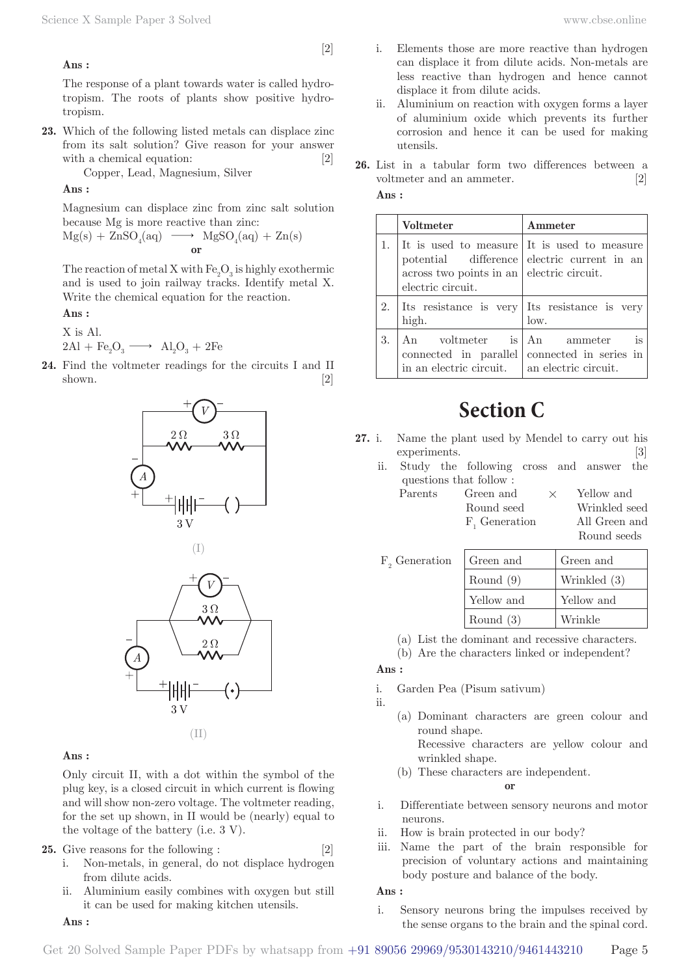# [2]

### **Ans :**

The response of a plant towards water is called hydrotropism. The roots of plants show positive hydrotropism.

**23.** Which of the following listed metals can displace zinc from its salt solution? Give reason for your answer with a chemical equation: [2]

Copper, Lead, Magnesium, Silver

#### **Ans :**

Magnesium can displace zinc from zinc salt solution because Mg is more reactive than zinc:

$$
Mg(s) + ZnSO_4(aq) \ \longrightarrow \ MgSO_4(aq) + Zn(s)
$$
 or

The reaction of metal X with  $\mathrm{Fe}_2\mathrm{O}_3$  is highly exothermic and is used to join railway tracks. Identify metal X. Write the chemical equation for the reaction.

# **Ans :**

X is Al.

$$
2\text{Al} + \text{Fe}_2\text{O}_3 \longrightarrow \text{Al}_2\text{O}_3 + 2\text{Fe}
$$

**24.** Find the voltmeter readings for the circuits I and II shown.  $[2]$ 







#### **Ans :**

Only circuit II, with a dot within the symbol of the plug key, is a closed circuit in which current is flowing and will show non-zero voltage. The voltmeter reading, for the set up shown, in II would be (nearly) equal to the voltage of the battery (i.e. 3 V).

# **25.** Give reasons for the following : [2]

- i. Non-metals, in general, do not displace hydrogen from dilute acids.
- ii. Aluminium easily combines with oxygen but still it can be used for making kitchen utensils.
- **Ans :**
- Elements those are more reactive than hydrogen can displace it from dilute acids. Non-metals are less reactive than hydrogen and hence cannot displace it from dilute acids.
- ii. Aluminium on reaction with oxygen forms a layer of aluminium oxide which prevents its further corrosion and hence it can be used for making utensils.
- **26.** List in a tabular form two differences between a voltmeter and an ammeter. [2] **Ans :**

|    | Voltmeter                                                                                                              | Ammeter                                            |
|----|------------------------------------------------------------------------------------------------------------------------|----------------------------------------------------|
|    | It is used to measure It is used to measure<br>$\alpha$ across two points in an electric circuit.<br>electric circuit. | potential difference electric current in an        |
|    | Its resistance is very Its resistance is very<br>high.                                                                 | low.                                               |
| 3. | An voltmeter is An ammeter<br>in an electric circuit. $\parallel$ an electric circuit.                                 | is<br>connected in parallel connected in series in |

# **Section C**

- **27.** i. Name the plant used by Mendel to carry out his experiments. [3]
	- ii. Study the following cross and answer the questions that follow :

| Parents | Green and                 | $\times$ | Yellow and    |
|---------|---------------------------|----------|---------------|
|         | Round seed                |          | Wrinkled seed |
|         | F <sub>,</sub> Generation |          | All Green and |
|         |                           |          | Round seeds   |

| $F_{\alpha}$ Generation | Green and   | Green and    |
|-------------------------|-------------|--------------|
|                         | Round $(9)$ | Wrinkled (3) |
|                         | Yellow and  | Yellow and   |
|                         | Round $(3)$ | Wrinkle      |

- (a) List the dominant and recessive characters.
- (b) Are the characters linked or independent?

## **Ans :**

- i. Garden Pea (Pisum sativum)
- ii.
	- (a) Dominant characters are green colour and round shape. Recessive characters are yellow colour and wrinkled shape.
	- (b) These characters are independent.

# **or**

- i. Differentiate between sensory neurons and motor neurons.
- ii. How is brain protected in our body?
- iii. Name the part of the brain responsible for precision of voluntary actions and maintaining body posture and balance of the body.

#### **Ans :**

i. Sensory neurons bring the impulses received by the sense organs to the brain and the spinal cord.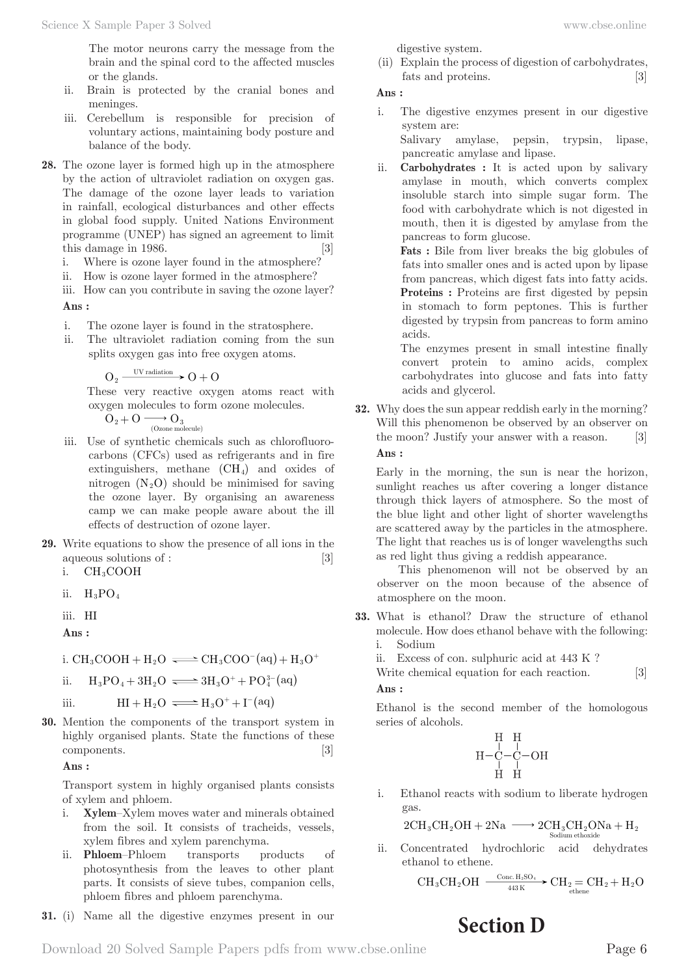The motor neurons carry the message from the brain and the spinal cord to the affected muscles or the glands.

- ii. Brain is protected by the cranial bones and meninges.
- iii. Cerebellum is responsible for precision of voluntary actions, maintaining body posture and balance of the body.
- **28.** The ozone layer is formed high up in the atmosphere by the action of ultraviolet radiation on oxygen gas. The damage of the ozone layer leads to variation in rainfall, ecological disturbances and other effects in global food supply. United Nations Environment programme (UNEP) has signed an agreement to limit this damage in 1986. [3]
	- i. Where is ozone layer found in the atmosphere?
	- ii. How is ozone layer formed in the atmosphere?
	- iii. How can you contribute in saving the ozone layer?

#### **Ans :**

- i. The ozone layer is found in the stratosphere.
- ii. The ultraviolet radiation coming from the sun splits oxygen gas into free oxygen atoms.

$$
O_2 \xrightarrow{\text{UV radiation}} O + O
$$

 These very reactive oxygen atoms react with oxygen molecules to form ozone molecules.

 $O_2 + O \longrightarrow O_3$ <br>(Ozone molecule)

- iii. Use of synthetic chemicals such as chlorofluorocarbons (CFCs) used as refrigerants and in fire extinguishers, methane  $(CH<sub>4</sub>)$  and oxides of nitrogen  $(N_2O)$  should be minimised for saving the ozone layer. By organising an awareness camp we can make people aware about the ill effects of destruction of ozone layer.
- **29.** Write equations to show the presence of all ions in the aqueous solutions of : [3]
	- i.  $CH<sub>3</sub>COOH$
	- ii.  $H_3PO_4$
	- iii. HI

**Ans :** 

i. CH<sub>3</sub>COOH + H<sub>2</sub>O  $\Longleftrightarrow$  CH<sub>3</sub>COO<sup>-</sup>(aq) + H<sub>3</sub>O<sup>+</sup>

ii. 
$$
H_3PO_4 + 3H_2O \implies 3H_3O^+ + PO_4^{3-}(aq)
$$

iii.  $HI + H_2O \implies H_3O^+ + I^{-}(aq)$ 

**30.** Mention the components of the transport system in highly organised plants. State the functions of these components. [3]

**Ans :** 

Transport system in highly organised plants consists of xylem and phloem.

- i. **Xylem**–Xylem moves water and minerals obtained from the soil. It consists of tracheids, vessels, xylem fibres and xylem parenchyma.
- ii. **Phloem**–Phloem transports products of photosynthesis from the leaves to other plant parts. It consists of sieve tubes, companion cells, phloem fibres and phloem parenchyma.

**31.** (i) Name all the digestive enzymes present in our

digestive system.

(ii) Explain the process of digestion of carbohydrates, fats and proteins. [3]

**Ans :** 

i. The digestive enzymes present in our digestive system are:

 Salivary amylase, pepsin, trypsin, lipase, pancreatic amylase and lipase.

ii. **Carbohydrates :** It is acted upon by salivary amylase in mouth, which converts complex insoluble starch into simple sugar form. The food with carbohydrate which is not digested in mouth, then it is digested by amylase from the pancreas to form glucose.

**Fats :** Bile from liver breaks the big globules of fats into smaller ones and is acted upon by lipase from pancreas, which digest fats into fatty acids. **Proteins :** Proteins are first digested by pepsin in stomach to form peptones. This is further digested by trypsin from pancreas to form amino acids.

 The enzymes present in small intestine finally convert protein to amino acids, complex carbohydrates into glucose and fats into fatty acids and glycerol.

**32.** Why does the sun appear reddish early in the morning? Will this phenomenon be observed by an observer on the moon? Justify your answer with a reason. [3] **Ans :** 

Early in the morning, the sun is near the horizon, sunlight reaches us after covering a longer distance through thick layers of atmosphere. So the most of the blue light and other light of shorter wavelengths are scattered away by the particles in the atmosphere. The light that reaches us is of longer wavelengths such as red light thus giving a reddish appearance.

This phenomenon will not be observed by an observer on the moon because of the absence of atmosphere on the moon.

- **33.** What is ethanol? Draw the structure of ethanol molecule. How does ethanol behave with the following: i. Sodium
	- ii. Excess of con. sulphuric acid at 443 K ?

Write chemical equation for each reaction. [3] **Ans :** 

Ethanol is the second member of the homologous series of alcohols.

$$
\begin{array}{c}\n\text{H} & \text{H} \\
\text{H} - \text{C} - \text{C} - \text{OH} \\
\text{H} & \text{H} \\
\text{H} & \text{H}\n\end{array}
$$

i. Ethanol reacts with sodium to liberate hydrogen gas.

$$
2CH_3CH_2OH + 2Na \xrightarrow{\hspace*{1.5cm}} 2CH_3CH_2ONa + H_2
$$
 
$$
Solium ethoxide
$$

ii. Concentrated hydrochloric acid dehydrates ethanol to ethene.

$$
CH_3CH_2OH \xrightarrow[443\,K]{{\rm Conc.}\,H_2SO_4} CH_2=CH_2+H_2O
$$

# **Section D**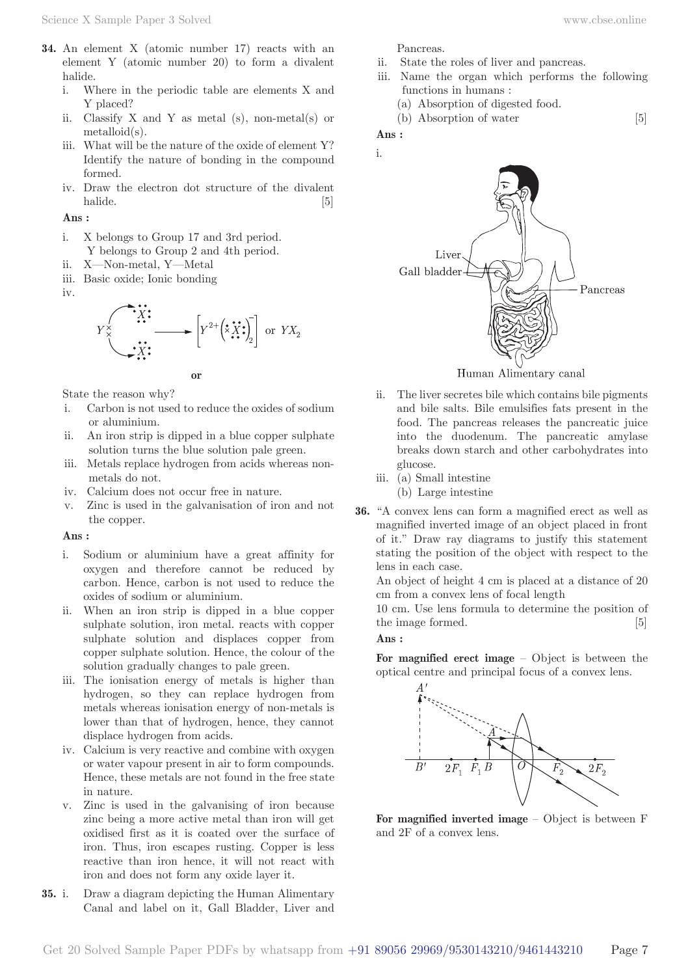- **34.** An element X (atomic number 17) reacts with an element Y (atomic number 20) to form a divalent halide.
	- i. Where in the periodic table are elements X and Y placed?
	- ii. Classify  $X$  and  $Y$  as metal (s), non-metal(s) or metalloid(s).
	- iii. What will be the nature of the oxide of element Y? Identify the nature of bonding in the compound formed.
	- iv. Draw the electron dot structure of the divalent halide. [5]

#### **Ans :**

- i. X belongs to Group 17 and 3rd period. Y belongs to Group 2 and 4th period.
- ii. X—Non-metal, Y—Metal
- iii. Basic oxide; Ionic bonding
- iv.





State the reason why?

- i. Carbon is not used to reduce the oxides of sodium or aluminium.
- ii. An iron strip is dipped in a blue copper sulphate solution turns the blue solution pale green.
- iii. Metals replace hydrogen from acids whereas nonmetals do not.
- iv. Calcium does not occur free in nature.
- v. Zinc is used in the galvanisation of iron and not the copper.

#### **Ans :**

- i. Sodium or aluminium have a great affinity for oxygen and therefore cannot be reduced by carbon. Hence, carbon is not used to reduce the oxides of sodium or aluminium.
- ii. When an iron strip is dipped in a blue copper sulphate solution, iron metal. reacts with copper sulphate solution and displaces copper from copper sulphate solution. Hence, the colour of the solution gradually changes to pale green.
- iii. The ionisation energy of metals is higher than hydrogen, so they can replace hydrogen from metals whereas ionisation energy of non-metals is lower than that of hydrogen, hence, they cannot displace hydrogen from acids.
- iv. Calcium is very reactive and combine with oxygen or water vapour present in air to form compounds. Hence, these metals are not found in the free state in nature.
- v. Zinc is used in the galvanising of iron because zinc being a more active metal than iron will get oxidised first as it is coated over the surface of iron. Thus, iron escapes rusting. Copper is less reactive than iron hence, it will not react with iron and does not form any oxide layer it.
- **35.** i. Draw a diagram depicting the Human Alimentary Canal and label on it, Gall Bladder, Liver and

Pancreas.

- ii. State the roles of liver and pancreas.
- iii. Name the organ which performs the following functions in humans :
	- (a) Absorption of digested food.

(b) Absorption of water [5]

**Ans :**  i.



Human Alimentary canal

- ii. The liver secretes bile which contains bile pigments and bile salts. Bile emulsifies fats present in the food. The pancreas releases the pancreatic juice into the duodenum. The pancreatic amylase breaks down starch and other carbohydrates into glucose.
- iii. (a) Small intestine

(b) Large intestine

**36.** "A convex lens can form a magnified erect as well as magnified inverted image of an object placed in front of it." Draw ray diagrams to justify this statement stating the position of the object with respect to the lens in each case.

An object of height 4 cm is placed at a distance of 20 cm from a convex lens of focal length

10 cm. Use lens formula to determine the position of the image formed. [5]

# **Ans :**

**For magnified erect image** – Object is between the optical centre and principal focus of a convex lens.



**For magnified inverted image** – Object is between F and 2F of a convex lens.